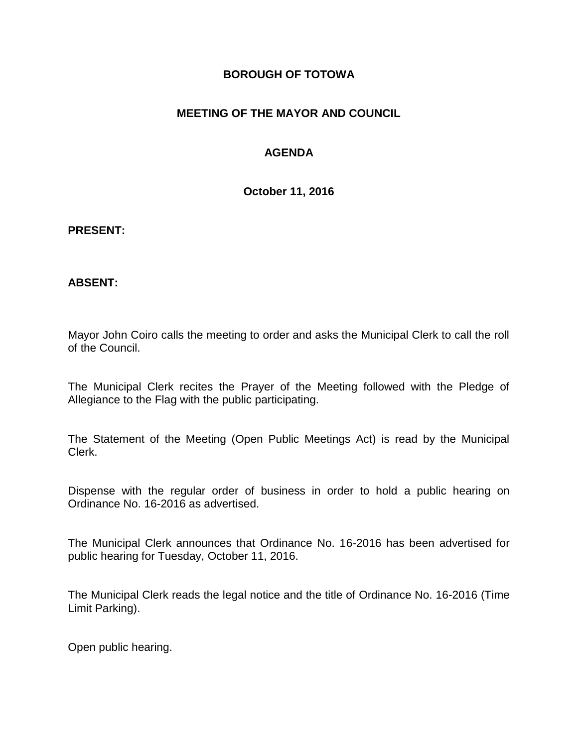## **BOROUGH OF TOTOWA**

## **MEETING OF THE MAYOR AND COUNCIL**

## **AGENDA**

**October 11, 2016**

#### **PRESENT:**

### **ABSENT:**

Mayor John Coiro calls the meeting to order and asks the Municipal Clerk to call the roll of the Council.

The Municipal Clerk recites the Prayer of the Meeting followed with the Pledge of Allegiance to the Flag with the public participating.

The Statement of the Meeting (Open Public Meetings Act) is read by the Municipal Clerk.

Dispense with the regular order of business in order to hold a public hearing on Ordinance No. 16-2016 as advertised.

The Municipal Clerk announces that Ordinance No. 16-2016 has been advertised for public hearing for Tuesday, October 11, 2016.

The Municipal Clerk reads the legal notice and the title of Ordinance No. 16-2016 (Time Limit Parking).

Open public hearing.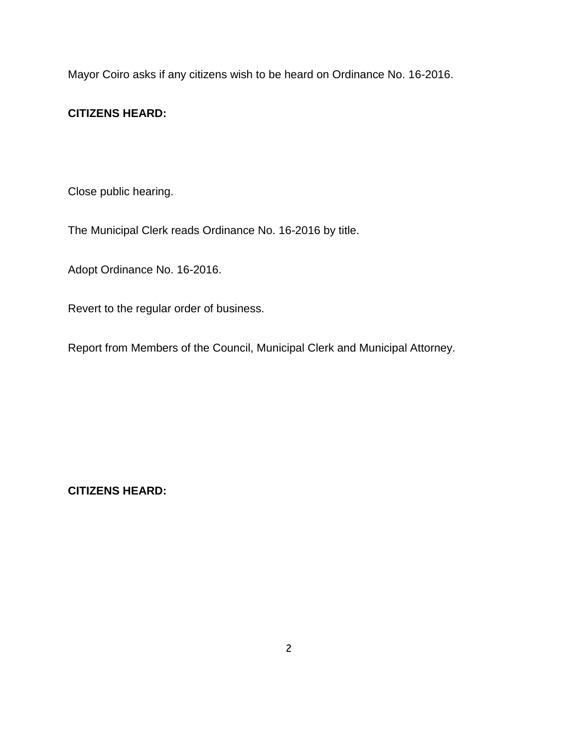Mayor Coiro asks if any citizens wish to be heard on Ordinance No. 16-2016.

# **CITIZENS HEARD:**

Close public hearing.

The Municipal Clerk reads Ordinance No. 16-2016 by title.

Adopt Ordinance No. 16-2016.

Revert to the regular order of business.

Report from Members of the Council, Municipal Clerk and Municipal Attorney.

**CITIZENS HEARD:**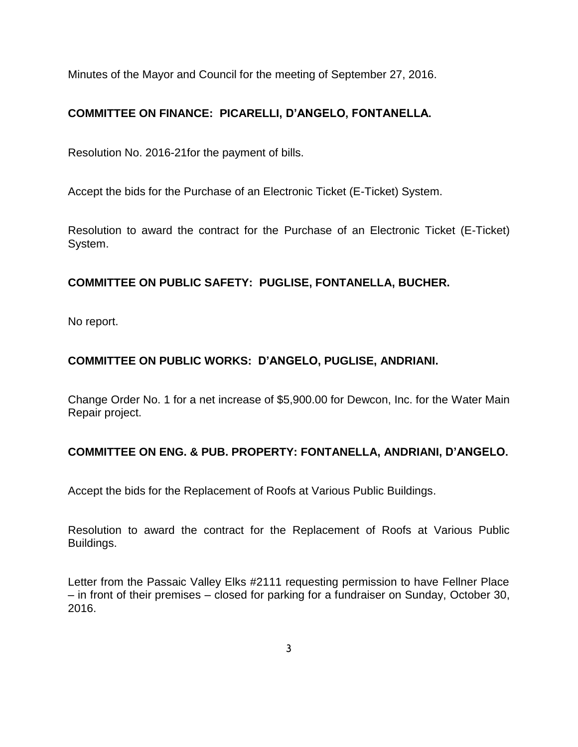Minutes of the Mayor and Council for the meeting of September 27, 2016.

# **COMMITTEE ON FINANCE: PICARELLI, D'ANGELO, FONTANELLA.**

Resolution No. 2016-21for the payment of bills.

Accept the bids for the Purchase of an Electronic Ticket (E-Ticket) System.

Resolution to award the contract for the Purchase of an Electronic Ticket (E-Ticket) System.

# **COMMITTEE ON PUBLIC SAFETY: PUGLISE, FONTANELLA, BUCHER.**

No report.

# **COMMITTEE ON PUBLIC WORKS: D'ANGELO, PUGLISE, ANDRIANI.**

Change Order No. 1 for a net increase of \$5,900.00 for Dewcon, Inc. for the Water Main Repair project.

# **COMMITTEE ON ENG. & PUB. PROPERTY: FONTANELLA, ANDRIANI, D'ANGELO.**

Accept the bids for the Replacement of Roofs at Various Public Buildings.

Resolution to award the contract for the Replacement of Roofs at Various Public Buildings.

Letter from the Passaic Valley Elks #2111 requesting permission to have Fellner Place – in front of their premises – closed for parking for a fundraiser on Sunday, October 30, 2016.